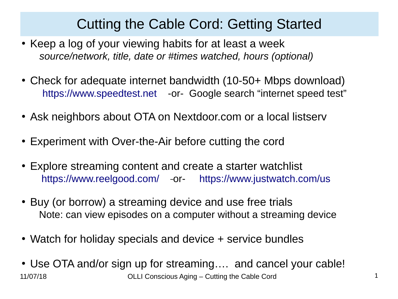## Cutting the Cable Cord: Getting Started

- Keep a log of your viewing habits for at least a week *source/network, title, date or #times watched, hours (optional)*
- Check for adequate internet bandwidth (10-50+ Mbps download) [https://www.speedtest.net](https://www.speedtest.net/) -or- Google search "internet speed test"
- Ask neighbors about OTA on Nextdoor.com or a local listserv
- Experiment with Over-the-Air before cutting the cord
- Explore streaming content and create a starter watchlist <https://www.reelgood.com/>-or- <https://www.justwatch.com/us>
- Buy (or borrow) a streaming device and use free trials Note: can view episodes on a computer without a streaming device
- Watch for holiday specials and device + service bundles
- 11/07/18 OLLI Conscious Aging Cutting the Cable Cord 1 • Use OTA and/or sign up for streaming.... and cancel your cable!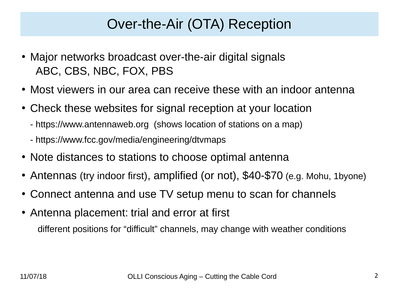## Over-the-Air (OTA) Reception

- Major networks broadcast over-the-air digital signals ABC, CBS, NBC, FOX, PBS
- Most viewers in our area can receive these with an indoor antenna
- Check these websites for signal reception at your location
	- https://www.antennaweb.org (shows location of stations on a map)
	- https://www.fcc.gov/media/engineering/dtvmaps
- Note distances to stations to choose optimal antenna
- Antennas (try indoor first), amplified (or not), \$40-\$70 (e.g. Mohu, 1byone)
- Connect antenna and use TV setup menu to scan for channels
- Antenna placement: trial and error at first different positions for "difficult" channels, may change with weather conditions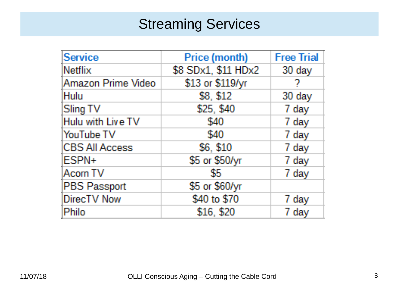## **Streaming Services**

| Service               | Price (month)       | <b>Free Trial</b> |
|-----------------------|---------------------|-------------------|
| Netflix               | \$8 SDx1, \$11 HDx2 | 30 day            |
| Amazon Prime Video    | \$13 or \$119/yr    | 7                 |
| Hulu                  | \$8, \$12           | 30 day            |
| Sling TV              | \$25, \$40          | 7 day             |
| Hulu with Live TV     | \$40                | 7 day             |
| YouTube TV            | \$40                | 7 day             |
| <b>CBS All Access</b> | \$6, \$10           | 7 day             |
| ESPN+                 | \$5 or \$50/yr      | 7 day             |
| Acorn TV              | \$5                 | 7 day             |
| PBS Passport          | \$5 or \$60/yr      |                   |
| DirecTV Now           | \$40 to \$70        | 7 day             |
| Philo                 | \$16, \$20          | 7 day             |